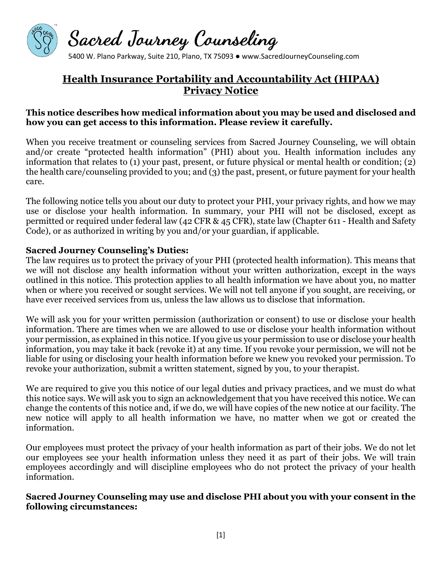

5400 W. Plano Parkway, Suite 210, Plano, TX 75093 ● www.SacredJourneyCounseling.com

# **Health Insurance Portability and Accountability Act (HIPAA) Privacy Notice**

# **This notice describes how medical information about you may be used and disclosed and how you can get access to this information. Please review it carefully.**

When you receive treatment or counseling services from Sacred Journey Counseling, we will obtain and/or create "protected health information" (PHI) about you. Health information includes any information that relates to (1) your past, present, or future physical or mental health or condition; (2) the health care/counseling provided to you; and (3) the past, present, or future payment for your health care.

The following notice tells you about our duty to protect your PHI, your privacy rights, and how we may use or disclose your health information. In summary, your PHI will not be disclosed, except as permitted or required under federal law (42 CFR & 45 CFR), state law (Chapter 611 - Health and Safety Code), or as authorized in writing by you and/or your guardian, if applicable.

#### **Sacred Journey Counseling's Duties:**

The law requires us to protect the privacy of your PHI (protected health information). This means that we will not disclose any health information without your written authorization, except in the ways outlined in this notice. This protection applies to all health information we have about you, no matter when or where you received or sought services. We will not tell anyone if you sought, are receiving, or have ever received services from us, unless the law allows us to disclose that information.

We will ask you for your written permission (authorization or consent) to use or disclose your health information. There are times when we are allowed to use or disclose your health information without your permission, as explained in this notice. If you give us your permission to use or disclose your health information, you may take it back (revoke it) at any time. If you revoke your permission, we will not be liable for using or disclosing your health information before we knew you revoked your permission. To revoke your authorization, submit a written statement, signed by you, to your therapist.

We are required to give you this notice of our legal duties and privacy practices, and we must do what this notice says. We will ask you to sign an acknowledgement that you have received this notice. We can change the contents of this notice and, if we do, we will have copies of the new notice at our facility. The new notice will apply to all health information we have, no matter when we got or created the information.

Our employees must protect the privacy of your health information as part of their jobs. We do not let our employees see your health information unless they need it as part of their jobs. We will train employees accordingly and will discipline employees who do not protect the privacy of your health information.

#### **Sacred Journey Counseling may use and disclose PHI about you with your consent in the following circumstances:**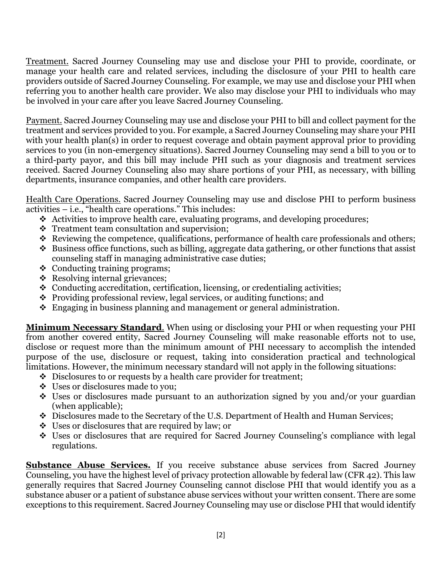Treatment. Sacred Journey Counseling may use and disclose your PHI to provide, coordinate, or manage your health care and related services, including the disclosure of your PHI to health care providers outside of Sacred Journey Counseling. For example, we may use and disclose your PHI when referring you to another health care provider. We also may disclose your PHI to individuals who may be involved in your care after you leave Sacred Journey Counseling.

Payment. Sacred Journey Counseling may use and disclose your PHI to bill and collect payment for the treatment and services provided to you. For example, a Sacred Journey Counseling may share your PHI with your health plan(s) in order to request coverage and obtain payment approval prior to providing services to you (in non-emergency situations). Sacred Journey Counseling may send a bill to you or to a third-party payor, and this bill may include PHI such as your diagnosis and treatment services received. Sacred Journey Counseling also may share portions of your PHI, as necessary, with billing departments, insurance companies, and other health care providers.

Health Care Operations. Sacred Journey Counseling may use and disclose PHI to perform business activities – i.e., "health care operations." This includes:

- Activities to improve health care, evaluating programs, and developing procedures;
- Treatment team consultation and supervision;
- $\triangle$  Reviewing the competence, qualifications, performance of health care professionals and others;
- $\bullet$  Business office functions, such as billing, aggregate data gathering, or other functions that assist counseling staff in managing administrative case duties;
- $\triangleleft$  Conducting training programs;
- ❖ Resolving internal grievances;
- Conducting accreditation, certification, licensing, or credentialing activities;
- Providing professional review, legal services, or auditing functions; and
- $\div$  Engaging in business planning and management or general administration.

**Minimum Necessary Standard**. When using or disclosing your PHI or when requesting your PHI from another covered entity, Sacred Journey Counseling will make reasonable efforts not to use, disclose or request more than the minimum amount of PHI necessary to accomplish the intended purpose of the use, disclosure or request, taking into consideration practical and technological limitations. However, the minimum necessary standard will not apply in the following situations:

- ◆ Disclosures to or requests by a health care provider for treatment;
- Uses or disclosures made to you;
- Uses or disclosures made pursuant to an authorization signed by you and/or your guardian (when applicable);
- Disclosures made to the Secretary of the U.S. Department of Health and Human Services;
- $\div$  Uses or disclosures that are required by law; or
- Uses or disclosures that are required for Sacred Journey Counseling's compliance with legal regulations.

**Substance Abuse Services.** If you receive substance abuse services from Sacred Journey Counseling, you have the highest level of privacy protection allowable by federal law (CFR 42). This law generally requires that Sacred Journey Counseling cannot disclose PHI that would identify you as a substance abuser or a patient of substance abuse services without your written consent. There are some exceptions to this requirement. Sacred Journey Counseling may use or disclose PHI that would identify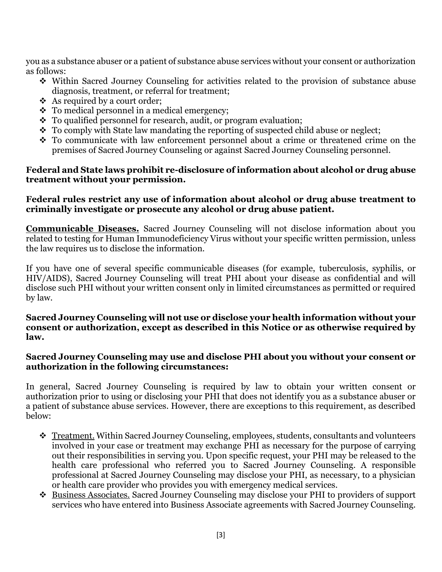you as a substance abuser or a patient of substance abuse services without your consent or authorization as follows:

- Within Sacred Journey Counseling for activities related to the provision of substance abuse diagnosis, treatment, or referral for treatment;
- $\triangleleft$  As required by a court order;
- $\cdot \cdot$  To medical personnel in a medical emergency;
- To qualified personnel for research, audit, or program evaluation;
- \* To comply with State law mandating the reporting of suspected child abuse or neglect;
- To communicate with law enforcement personnel about a crime or threatened crime on the premises of Sacred Journey Counseling or against Sacred Journey Counseling personnel.

### **Federal and State laws prohibit re-disclosure of information about alcohol or drug abuse treatment without your permission.**

#### **Federal rules restrict any use of information about alcohol or drug abuse treatment to criminally investigate or prosecute any alcohol or drug abuse patient.**

**Communicable Diseases.** Sacred Journey Counseling will not disclose information about you related to testing for Human Immunodeficiency Virus without your specific written permission, unless the law requires us to disclose the information.

If you have one of several specific communicable diseases (for example, tuberculosis, syphilis, or HIV/AIDS), Sacred Journey Counseling will treat PHI about your disease as confidential and will disclose such PHI without your written consent only in limited circumstances as permitted or required by law.

#### **Sacred Journey Counseling will not use or disclose your health information without your consent or authorization, except as described in this Notice or as otherwise required by law.**

# **Sacred Journey Counseling may use and disclose PHI about you without your consent or authorization in the following circumstances:**

In general, Sacred Journey Counseling is required by law to obtain your written consent or authorization prior to using or disclosing your PHI that does not identify you as a substance abuser or a patient of substance abuse services. However, there are exceptions to this requirement, as described below:

- **<u>Treatment.</u>** Within Sacred Journey Counseling, employees, students, consultants and volunteers involved in your case or treatment may exchange PHI as necessary for the purpose of carrying out their responsibilities in serving you. Upon specific request, your PHI may be released to the health care professional who referred you to Sacred Journey Counseling. A responsible professional at Sacred Journey Counseling may disclose your PHI, as necessary, to a physician or health care provider who provides you with emergency medical services.
- Business Associates. Sacred Journey Counseling may disclose your PHI to providers of support services who have entered into Business Associate agreements with Sacred Journey Counseling.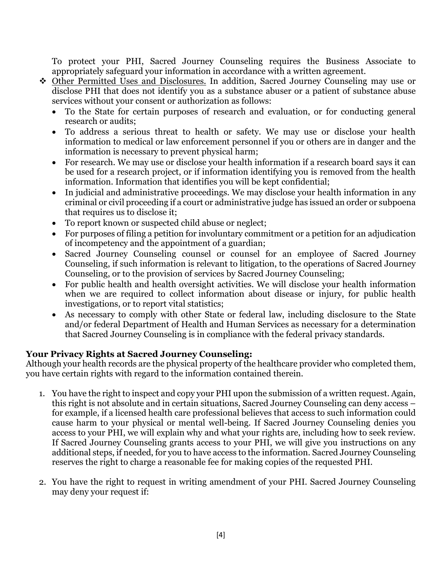To protect your PHI, Sacred Journey Counseling requires the Business Associate to appropriately safeguard your information in accordance with a written agreement.

- Other Permitted Uses and Disclosures. In addition, Sacred Journey Counseling may use or disclose PHI that does not identify you as a substance abuser or a patient of substance abuse services without your consent or authorization as follows:
	- To the State for certain purposes of research and evaluation, or for conducting general research or audits;
	- To address a serious threat to health or safety. We may use or disclose your health information to medical or law enforcement personnel if you or others are in danger and the information is necessary to prevent physical harm;
	- For research. We may use or disclose your health information if a research board says it can be used for a research project, or if information identifying you is removed from the health information. Information that identifies you will be kept confidential;
	- In judicial and administrative proceedings. We may disclose your health information in any criminal or civil proceeding if a court or administrative judge has issued an order or subpoena that requires us to disclose it;
	- To report known or suspected child abuse or neglect;
	- For purposes of filing a petition for involuntary commitment or a petition for an adjudication of incompetency and the appointment of a guardian;
	- Sacred Journey Counseling counsel or counsel for an employee of Sacred Journey Counseling, if such information is relevant to litigation, to the operations of Sacred Journey Counseling, or to the provision of services by Sacred Journey Counseling;
	- For public health and health oversight activities. We will disclose your health information when we are required to collect information about disease or injury, for public health investigations, or to report vital statistics;
	- As necessary to comply with other State or federal law, including disclosure to the State and/or federal Department of Health and Human Services as necessary for a determination that Sacred Journey Counseling is in compliance with the federal privacy standards.

# **Your Privacy Rights at Sacred Journey Counseling:**

Although your health records are the physical property of the healthcare provider who completed them, you have certain rights with regard to the information contained therein.

- 1. You have the right to inspect and copy your PHI upon the submission of a written request. Again, this right is not absolute and in certain situations, Sacred Journey Counseling can deny access – for example, if a licensed health care professional believes that access to such information could cause harm to your physical or mental well-being. If Sacred Journey Counseling denies you access to your PHI, we will explain why and what your rights are, including how to seek review. If Sacred Journey Counseling grants access to your PHI, we will give you instructions on any additional steps, if needed, for you to have access to the information. Sacred Journey Counseling reserves the right to charge a reasonable fee for making copies of the requested PHI.
- 2. You have the right to request in writing amendment of your PHI. Sacred Journey Counseling may deny your request if: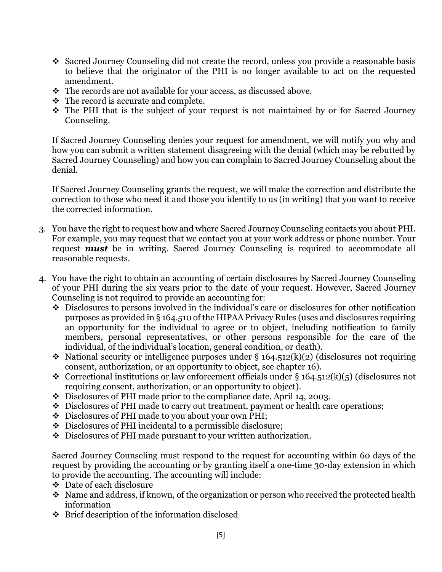- Sacred Journey Counseling did not create the record, unless you provide a reasonable basis to believe that the originator of the PHI is no longer available to act on the requested amendment.
- The records are not available for your access, as discussed above.
- $\div$  The record is accurate and complete.
- The PHI that is the subject of your request is not maintained by or for Sacred Journey Counseling.

If Sacred Journey Counseling denies your request for amendment, we will notify you why and how you can submit a written statement disagreeing with the denial (which may be rebutted by Sacred Journey Counseling) and how you can complain to Sacred Journey Counseling about the denial.

If Sacred Journey Counseling grants the request, we will make the correction and distribute the correction to those who need it and those you identify to us (in writing) that you want to receive the corrected information.

- 3. You have the right to request how and where Sacred Journey Counseling contacts you about PHI. For example, you may request that we contact you at your work address or phone number. Your request *must* be in writing. Sacred Journey Counseling is required to accommodate all reasonable requests.
- 4. You have the right to obtain an accounting of certain disclosures by Sacred Journey Counseling of your PHI during the six years prior to the date of your request. However, Sacred Journey Counseling is not required to provide an accounting for:
	- Disclosures to persons involved in the individual's care or disclosures for other notification purposes as provided in § 164.510 of the HIPAA Privacy Rules (uses and disclosures requiring an opportunity for the individual to agree or to object, including notification to family members, personal representatives, or other persons responsible for the care of the individual, of the individual's location, general condition, or death).
	- $\cdot$  National security or intelligence purposes under § 164.512(k)(2) (disclosures not requiring consent, authorization, or an opportunity to object, see chapter 16).
	- $\triangle$  Correctional institutions or law enforcement officials under § 164.512(k)(5) (disclosures not requiring consent, authorization, or an opportunity to object).
	- Disclosures of PHI made prior to the compliance date, April 14, 2003.
	- Disclosures of PHI made to carry out treatment, payment or health care operations;
	- Disclosures of PHI made to you about your own PHI;
	- Disclosures of PHI incidental to a permissible disclosure;
	- Disclosures of PHI made pursuant to your written authorization.

Sacred Journey Counseling must respond to the request for accounting within 60 days of the request by providing the accounting or by granting itself a one-time 30-day extension in which to provide the accounting. The accounting will include:

- Date of each disclosure
- $\cdot$  Name and address, if known, of the organization or person who received the protected health information
- Brief description of the information disclosed